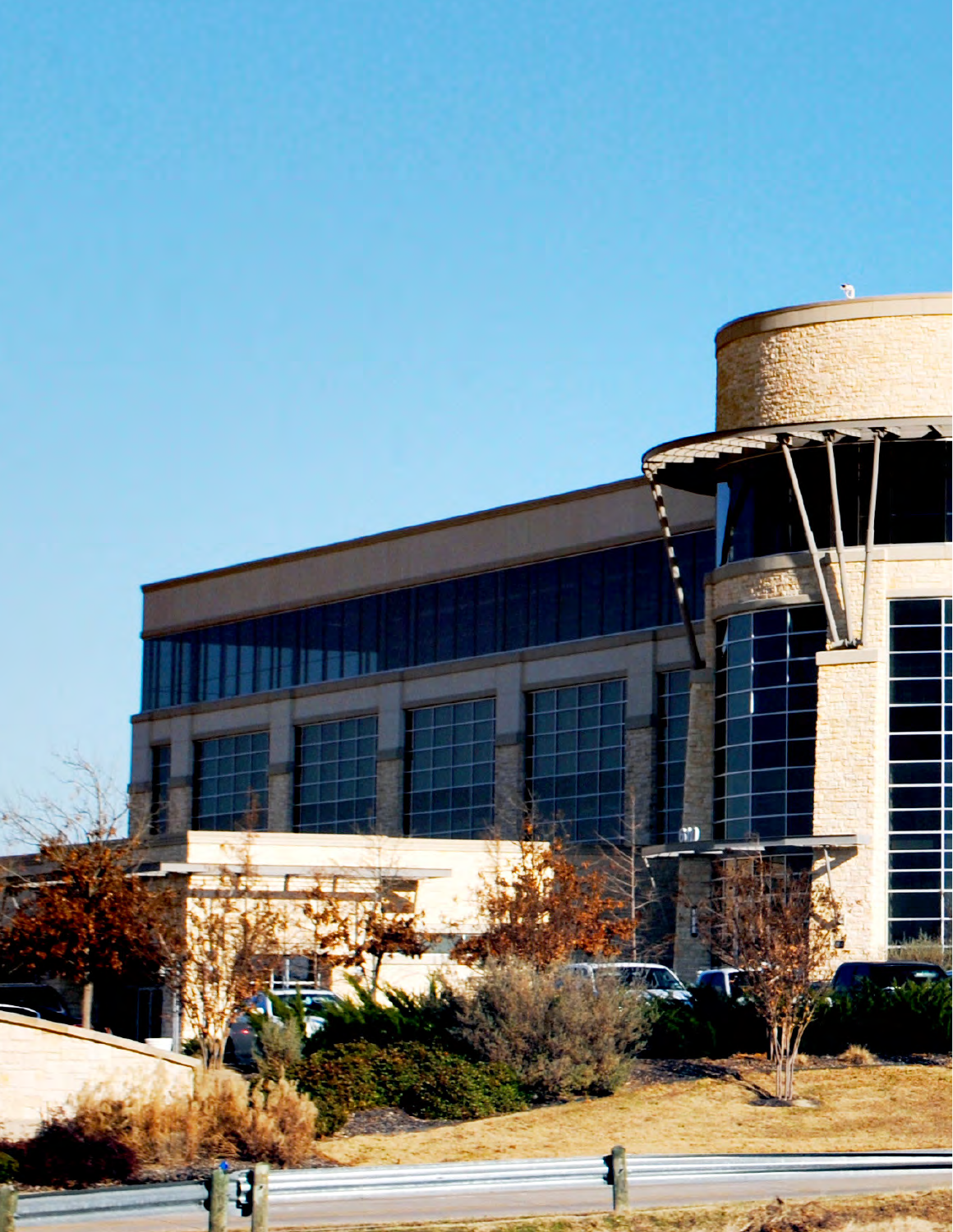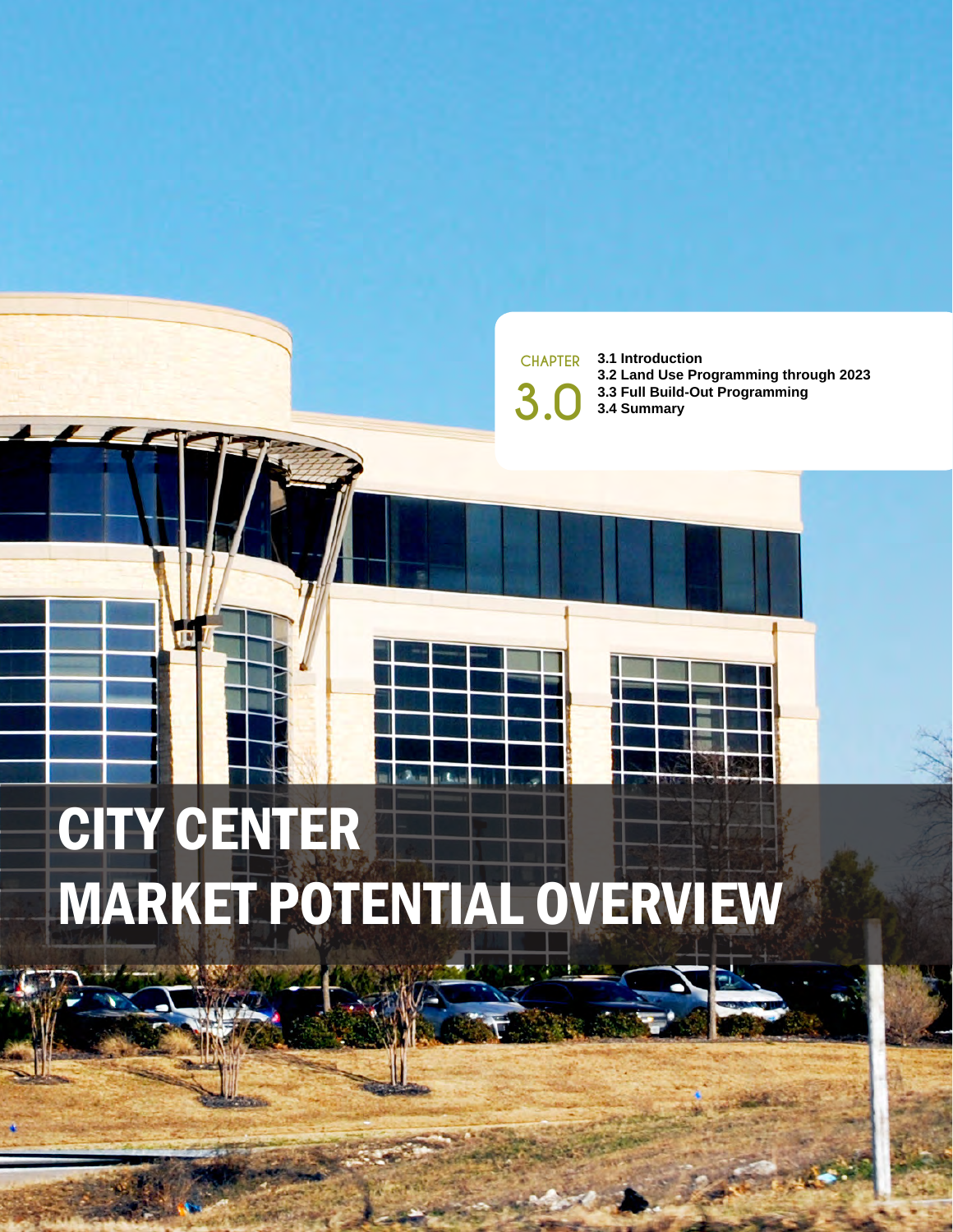# **CHAPTER 3.0**

**3.1 Introduction 3.2 Land Use Programming through 2023 3.3 Full Build-Out Programming 3.4 Summary**

# CITY CENTER MARKET POTENTIAL OVERVIEW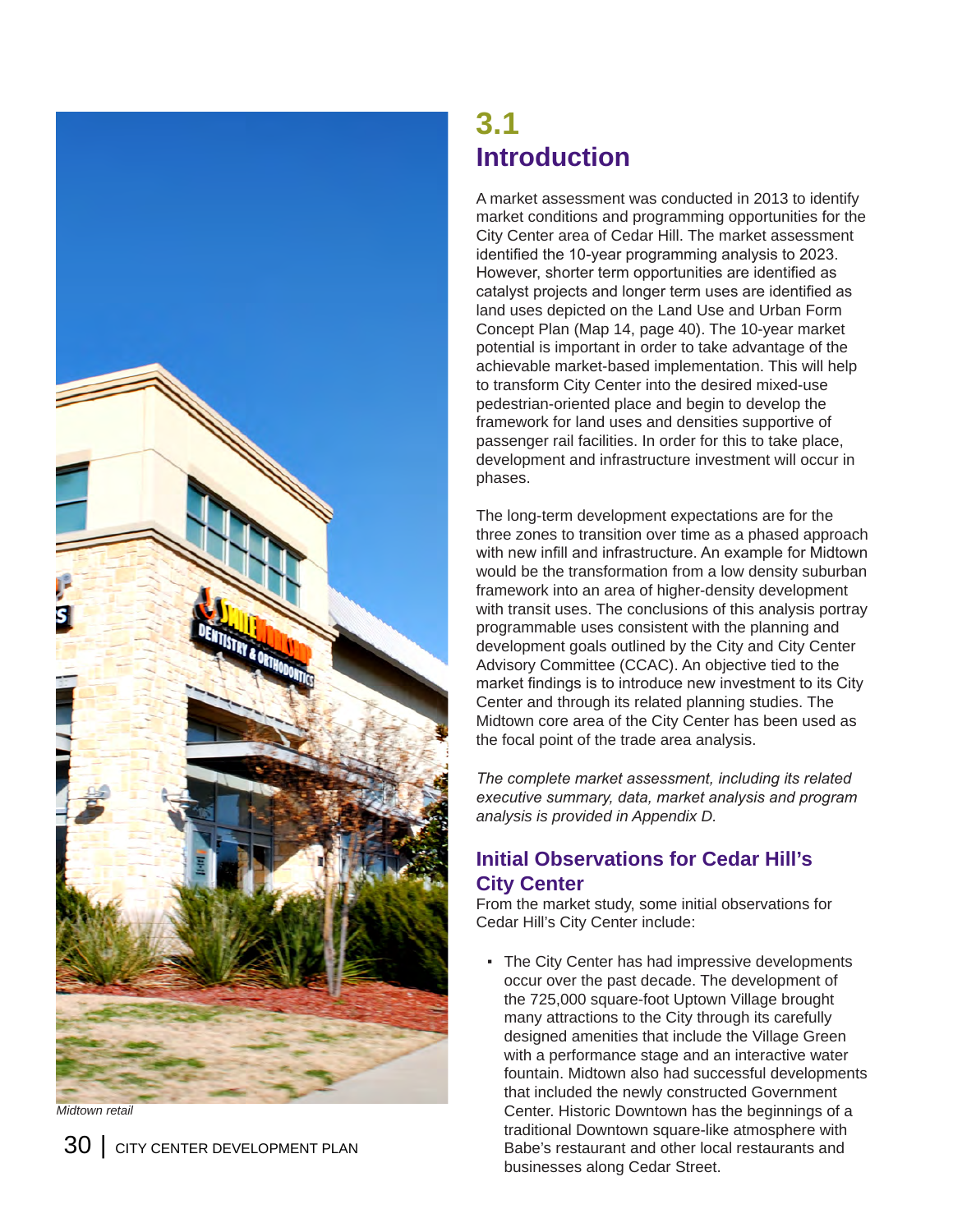

*Midtown retail*

# **3.1 Introduction**

A market assessment was conducted in 2013 to identify market conditions and programming opportunities for the City Center area of Cedar Hill. The market assessment identified the 10-year programming analysis to 2023. However, shorter term opportunities are identified as catalyst projects and longer term uses are identified as land uses depicted on the Land Use and Urban Form Concept Plan (Map 14, page 40). The 10-year market potential is important in order to take advantage of the achievable market-based implementation. This will help to transform City Center into the desired mixed-use pedestrian-oriented place and begin to develop the framework for land uses and densities supportive of passenger rail facilities. In order for this to take place, development and infrastructure investment will occur in phases.

The long-term development expectations are for the three zones to transition over time as a phased approach with new infill and infrastructure. An example for Midtown would be the transformation from a low density suburban framework into an area of higher-density development with transit uses. The conclusions of this analysis portray programmable uses consistent with the planning and development goals outlined by the City and City Center Advisory Committee (CCAC). An objective tied to the market findings is to introduce new investment to its City Center and through its related planning studies. The Midtown core area of the City Center has been used as the focal point of the trade area analysis.

*The complete market assessment, including its related executive summary, data, market analysis and program analysis is provided in Appendix D.*

# **Initial Observations for Cedar Hill's City Center**

From the market study, some initial observations for Cedar Hill's City Center include:

• The City Center has had impressive developments occur over the past decade. The development of the 725,000 square-foot Uptown Village brought many attractions to the City through its carefully designed amenities that include the Village Green with a performance stage and an interactive water fountain. Midtown also had successful developments that included the newly constructed Government Center. Historic Downtown has the beginnings of a traditional Downtown square-like atmosphere with Babe's restaurant and other local restaurants and businesses along Cedar Street.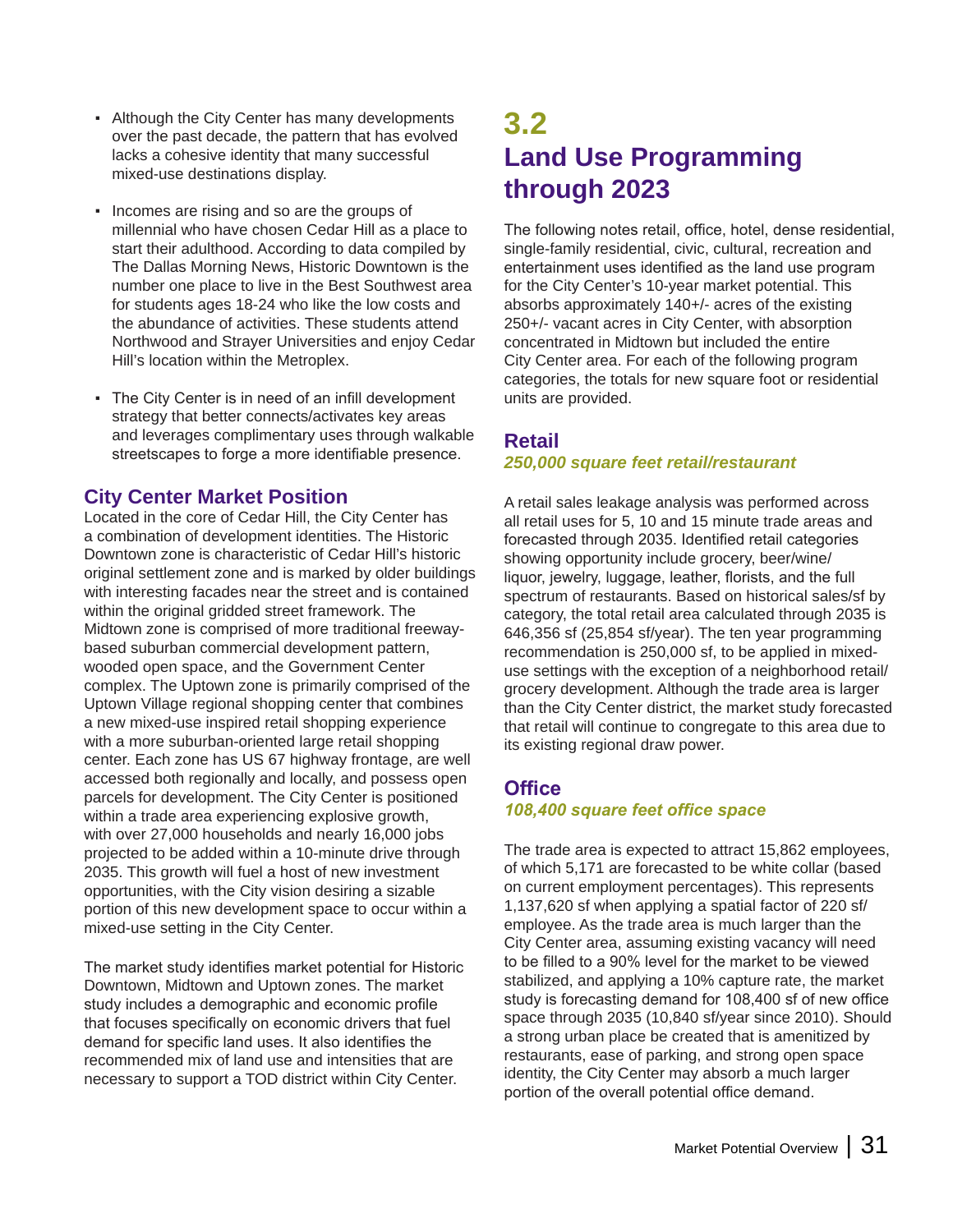- **Although the City Center has many developments** over the past decade, the pattern that has evolved lacks a cohesive identity that many successful mixed-use destinations display.
- Incomes are rising and so are the groups of millennial who have chosen Cedar Hill as a place to start their adulthood. According to data compiled by The Dallas Morning News, Historic Downtown is the number one place to live in the Best Southwest area for students ages 18-24 who like the low costs and the abundance of activities. These students attend Northwood and Strayer Universities and enjoy Cedar Hill's location within the Metroplex.
- The City Center is in need of an infill development strategy that better connects/activates key areas and leverages complimentary uses through walkable streetscapes to forge a more identifiable presence.

#### **City Center Market Position**

Located in the core of Cedar Hill, the City Center has a combination of development identities. The Historic Downtown zone is characteristic of Cedar Hill's historic original settlement zone and is marked by older buildings with interesting facades near the street and is contained within the original gridded street framework. The Midtown zone is comprised of more traditional freewaybased suburban commercial development pattern, wooded open space, and the Government Center complex. The Uptown zone is primarily comprised of the Uptown Village regional shopping center that combines a new mixed-use inspired retail shopping experience with a more suburban-oriented large retail shopping center. Each zone has US 67 highway frontage, are well accessed both regionally and locally, and possess open parcels for development. The City Center is positioned within a trade area experiencing explosive growth, with over 27,000 households and nearly 16,000 jobs projected to be added within a 10-minute drive through 2035. This growth will fuel a host of new investment opportunities, with the City vision desiring a sizable portion of this new development space to occur within a mixed-use setting in the City Center.

The market study identifies market potential for Historic Downtown, Midtown and Uptown zones. The market study includes a demographic and economic profile that focuses specifically on economic drivers that fuel demand for specific land uses. It also identifies the recommended mix of land use and intensities that are necessary to support a TOD district within City Center.

# **3.2 Land Use Programming through 2023**

The following notes retail, office, hotel, dense residential, single-family residential, civic, cultural, recreation and entertainment uses identified as the land use program for the City Center's 10-year market potential. This absorbs approximately 140+/- acres of the existing 250+/- vacant acres in City Center, with absorption concentrated in Midtown but included the entire City Center area. For each of the following program categories, the totals for new square foot or residential units are provided.

## **Retail**

#### *250,000 square feet retail/restaurant*

A retail sales leakage analysis was performed across all retail uses for 5, 10 and 15 minute trade areas and forecasted through 2035. Identified retail categories showing opportunity include grocery, beer/wine/ liquor, jewelry, luggage, leather, florists, and the full spectrum of restaurants. Based on historical sales/sf by category, the total retail area calculated through 2035 is 646,356 sf (25,854 sf/year). The ten year programming recommendation is 250,000 sf, to be applied in mixeduse settings with the exception of a neighborhood retail/ grocery development. Although the trade area is larger than the City Center district, the market study forecasted that retail will continue to congregate to this area due to its existing regional draw power.

# **Office**

#### *108,400 square feet office space*

The trade area is expected to attract 15,862 employees, of which 5,171 are forecasted to be white collar (based on current employment percentages). This represents 1,137,620 sf when applying a spatial factor of 220 sf/ employee. As the trade area is much larger than the City Center area, assuming existing vacancy will need to be filled to a 90% level for the market to be viewed stabilized, and applying a 10% capture rate, the market study is forecasting demand for 108,400 sf of new office space through 2035 (10,840 sf/year since 2010). Should a strong urban place be created that is amenitized by restaurants, ease of parking, and strong open space identity, the City Center may absorb a much larger portion of the overall potential office demand.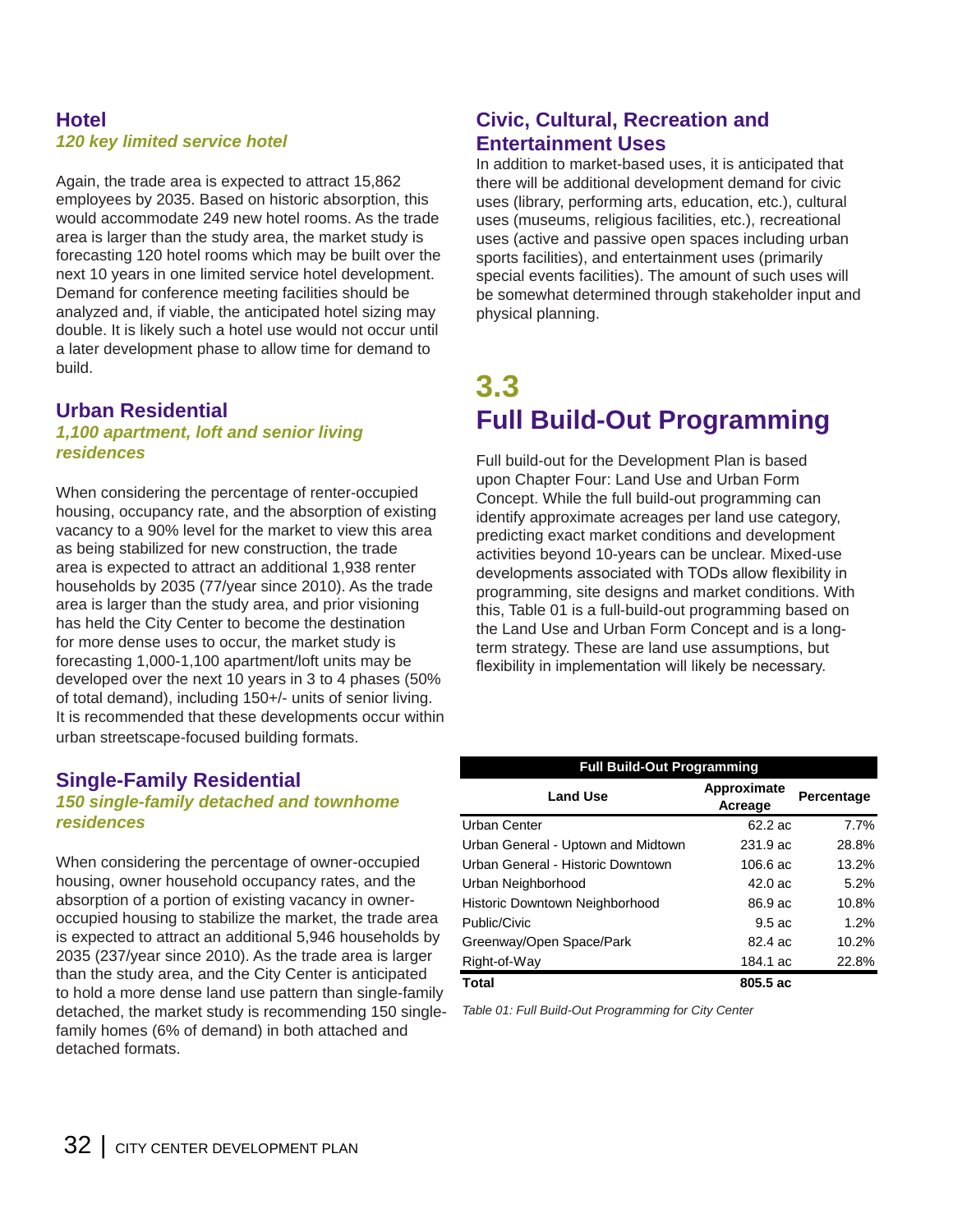#### **Hotel** *120 key limited service hotel*

Again, the trade area is expected to attract 15,862 employees by 2035. Based on historic absorption, this would accommodate 249 new hotel rooms. As the trade area is larger than the study area, the market study is forecasting 120 hotel rooms which may be built over the next 10 years in one limited service hotel development. Demand for conference meeting facilities should be analyzed and, if viable, the anticipated hotel sizing may double. It is likely such a hotel use would not occur until a later development phase to allow time for demand to build.

### **Urban Residential**

#### *1,100 apartment, loft and senior living residences*

When considering the percentage of renter-occupied housing, occupancy rate, and the absorption of existing vacancy to a 90% level for the market to view this area as being stabilized for new construction, the trade area is expected to attract an additional 1,938 renter households by 2035 (77/year since 2010). As the trade area is larger than the study area, and prior visioning has held the City Center to become the destination for more dense uses to occur, the market study is forecasting 1,000-1,100 apartment/loft units may be developed over the next 10 years in 3 to 4 phases (50% of total demand), including 150+/- units of senior living. It is recommended that these developments occur within urban streetscape-focused building formats.

# **Single-Family Residential**

#### *150 single-family detached and townhome residences*

When considering the percentage of owner-occupied housing, owner household occupancy rates, and the absorption of a portion of existing vacancy in owneroccupied housing to stabilize the market, the trade area is expected to attract an additional 5,946 households by 2035 (237/year since 2010). As the trade area is larger than the study area, and the City Center is anticipated to hold a more dense land use pattern than single-family detached, the market study is recommending 150 singlefamily homes (6% of demand) in both attached and detached formats.

## **Civic, Cultural, Recreation and Entertainment Uses**

In addition to market-based uses, it is anticipated that there will be additional development demand for civic uses (library, performing arts, education, etc.), cultural uses (museums, religious facilities, etc.), recreational uses (active and passive open spaces including urban sports facilities), and entertainment uses (primarily special events facilities). The amount of such uses will be somewhat determined through stakeholder input and physical planning.

# **3.3 Full Build-Out Programming**

Full build-out for the Development Plan is based upon Chapter Four: Land Use and Urban Form Concept. While the full build-out programming can identify approximate acreages per land use category, predicting exact market conditions and development activities beyond 10-years can be unclear. Mixed-use developments associated with TODs allow flexibility in programming, site designs and market conditions. With this, Table 01 is a full-build-out programming based on the Land Use and Urban Form Concept and is a longterm strategy. These are land use assumptions, but flexibility in implementation will likely be necessary.

| <b>Full Build-Out Programming</b>  |                        |            |
|------------------------------------|------------------------|------------|
| <b>Land Use</b>                    | Approximate<br>Acreage | Percentage |
| Urban Center                       | 62.2 ac                | 7.7%       |
| Urban General - Uptown and Midtown | 231.9 ac               | 28.8%      |
| Urban General - Historic Downtown  | 106.6 ac               | 13.2%      |
| Urban Neighborhood                 | $42.0 a$ c             | 5.2%       |
| Historic Downtown Neighborhood     | 86.9 ac                | 10.8%      |
| Public/Civic                       | 9.5ac                  | 1.2%       |
| Greenway/Open Space/Park           | 82.4 ac                | 10.2%      |
| Right-of-Way                       | 184.1 ac               | 22.8%      |
| Total                              | 805.5ac                |            |

*Table 01: Full Build-Out Programming for City Center*